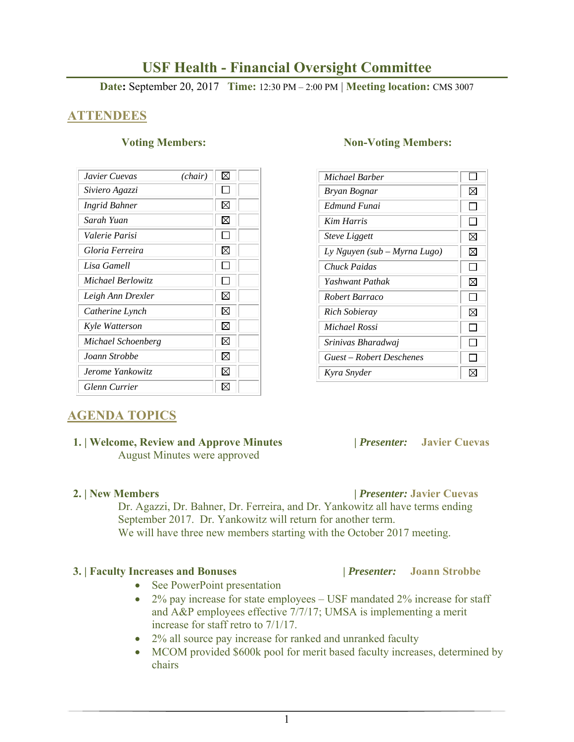# **USF Health - Financial Oversight Committee**

**Date:** September 20, 2017 **Time:** 12:30 PM – 2:00 PM | **Meeting location:** CMS 3007

# **ATTENDEES**

| Javier Cuevas      | ⊠<br>(chair) |
|--------------------|--------------|
| Siviero Agazzi     |              |
| Ingrid Bahner      | $\boxtimes$  |
| Sarah Yuan         | $\boxtimes$  |
| Valerie Parisi     |              |
| Gloria Ferreira    | X            |
| Lisa Gamell        |              |
| Michael Berlowitz  |              |
| Leigh Ann Drexler  | X            |
| Catherine Lynch    | ⊠            |
| Kyle Watterson     | ⊠            |
| Michael Schoenberg | ⊠            |
| Joann Strobbe      | X            |
| Jerome Yankowitz   | ⋈            |
| Glenn Currier      |              |

# **Voting Members:** Non-Voting Members:

| Michael Barber               |   |
|------------------------------|---|
| Bryan Bognar                 | ⊠ |
| Edmund Funai                 |   |
| <b>Kim Harris</b>            |   |
| <i><b>Steve Liggett</b></i>  | ⊠ |
| Ly Nguyen (sub – Myrna Lugo) | ⊠ |
| Chuck Paidas                 |   |
| Yashwant Pathak              | ⊠ |
| Robert Barraco               |   |
| Rich Sobieray                | ⊠ |
| Michael Rossi                |   |
| Srinivas Bharadwai           |   |
| Guest – Robert Deschenes     |   |
| Kyra Snyder                  |   |

# **AGENDA TOPICS**

### **1. | Welcome, Review and Approve Minutes****|** *Presenter:* **Javier Cuevas**  August Minutes were approved

Dr. Agazzi, Dr. Bahner, Dr. Ferreira, and Dr. Yankowitz all have terms ending September 2017. Dr. Yankowitz will return for another term. We will have three new members starting with the October 2017 meeting.

### **3. | Faculty Increases and Bonuses |** *Presenter:* **Joann Strobbe**

- See PowerPoint presentation
- 2% pay increase for state employees USF mandated 2% increase for staff and A&P employees effective 7/7/17; UMSA is implementing a merit increase for staff retro to 7/1/17.
- 2% all source pay increase for ranked and unranked faculty
- MCOM provided \$600k pool for merit based faculty increases, determined by chairs

### **2. | New Members |** *Presenter:* **Javier Cuevas**